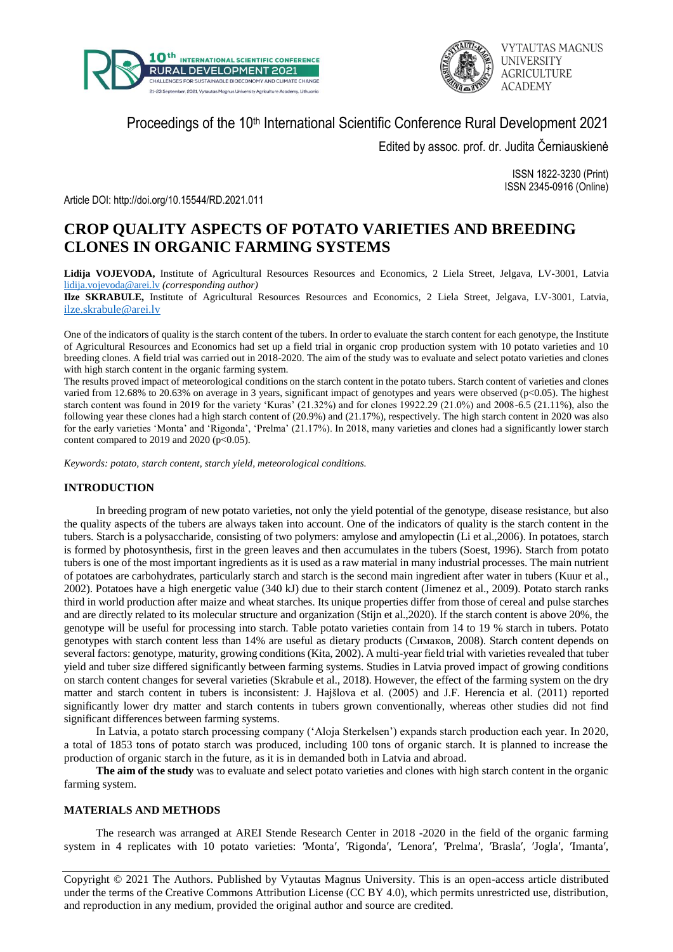



# Proceedings of the 10<sup>th</sup> International Scientific Conference Rural Development 2021

Edited by assoc. prof. dr. Judita Černiauskienė

ISSN 1822-3230 (Print) ISSN 2345-0916 (Online)

Article DOI: http://doi.org/10.15544/RD.2021.011

# **CROP QUALITY ASPECTS OF POTATO VARIETIES AND BREEDING CLONES IN ORGANIC FARMING SYSTEMS**

**Lidija VOJEVODA,** Institute of Agricultural Resources Resources and Economics, 2 Liela Street, Jelgava, LV-3001, Latvia [lidija.vojevoda@arei.lv](mailto:lidija.vojevoda@arei.lv) *(corresponding author)*

**Ilze SKRABULE,** Institute of Agricultural Resources Resources and Economics, 2 Liela Street, Jelgava, LV-3001, Latvia, [ilze.skrabule@arei.lv](mailto:ilze.skrabule@arei.lv)

One of the indicators of quality is the starch content of the tubers. In order to evaluate the starch content for each genotype, the Institute of Agricultural Resources and Economics had set up a field trial in organic crop production system with 10 potato varieties and 10 breeding clones. A field trial was carried out in 2018-2020. The aim of the study was to evaluate and select potato varieties and clones with high starch content in the organic farming system.

The results proved impact of meteorological conditions on the starch content in the potato tubers. Starch content of varieties and clones varied from 12.68% to 20.63% on average in 3 years, significant impact of genotypes and years were observed (p<0.05). The highest starch content was found in 2019 for the variety 'Kuras' (21.32%) and for clones 19922.29 (21.0%) and 2008-6.5 (21.11%), also the following year these clones had a high starch content of (20.9%) and (21.17%), respectively. The high starch content in 2020 was also for the early varieties 'Monta' and 'Rigonda', 'Prelma' (21.17%). In 2018, many varieties and clones had a significantly lower starch content compared to 2019 and 2020 ( $p<0.05$ ).

*Keywords: potato, starch content, starch yield, meteorological conditions.*

## **INTRODUCTION**

In breeding program of new potato varieties, not only the yield potential of the genotype, disease resistance, but also the quality aspects of the tubers are always taken into account. One of the indicators of quality is the starch content in the tubers. Starch is a polysaccharide, consisting of two polymers: amylose and amylopectin (Li et al.,2006). In potatoes, starch is formed by photosynthesis, first in the green leaves and then accumulates in the tubers (Soest, 1996). Starch from potato tubers is one of the most important ingredients as it is used as a raw material in many industrial processes. The main nutrient of potatoes are carbohydrates, particularly starch and starch is the second main ingredient after water in tubers (Kuur et al., 2002). Potatoes have a high energetic value (340 kJ) due to their starch content (Jimenez et al., 2009). Potato starch ranks third in world production after maize and wheat starches. Its unique properties differ from those of cereal and pulse starches and are directly related to its molecular structure and organization (Stijn et al.,2020). If the starch content is above 20%, the genotype will be useful for processing into starch. Table potato varieties contain from 14 to 19 % starch in tubers. Potato genotypes with starch content less than 14% are useful as dietary products (Cимаков, 2008). Starch content depends on several factors: genotype, maturity, growing conditions(Kita, 2002). A multi-year field trial with varieties revealed that tuber yield and tuber size differed significantly between farming systems. Studies in Latvia proved impact of growing conditions on starch content changes for several varieties (Skrabule et al., 2018). However, the effect of the farming system on the dry matter and starch content in tubers is inconsistent: J. Hajšlova et al. (2005) and J.F. Herencia et al. (2011) reported significantly lower dry matter and starch contents in tubers grown conventionally, whereas other studies did not find significant differences between farming systems.

In Latvia, a potato starch processing company ('Aloja Sterkelsen') expands starch production each year. In 2020, a total of 1853 tons of potato starch was produced, including 100 tons of organic starch. It is planned to increase the production of organic starch in the future, as it is in demanded both in Latvia and abroad.

**The aim of the study** was to evaluate and select potato varieties and clones with high starch content in the organic farming system.

## **MATERIALS AND METHODS**

The research was arranged at AREI Stende Research Center in 2018 -2020 in the field of the organic farming system in 4 replicates with 10 potato varieties: 'Monta', 'Rigonda', 'Lenora', 'Prelma', 'Brasla', 'Jogla', 'Imanta',

Copyright © 2021 The Authors. Published by Vytautas Magnus University. This is an open-access article distributed under the terms of the Creative Commons Attribution License (CC BY 4.0), which permits unrestricted use, distribution, and reproduction in any medium, provided the original author and source are credited.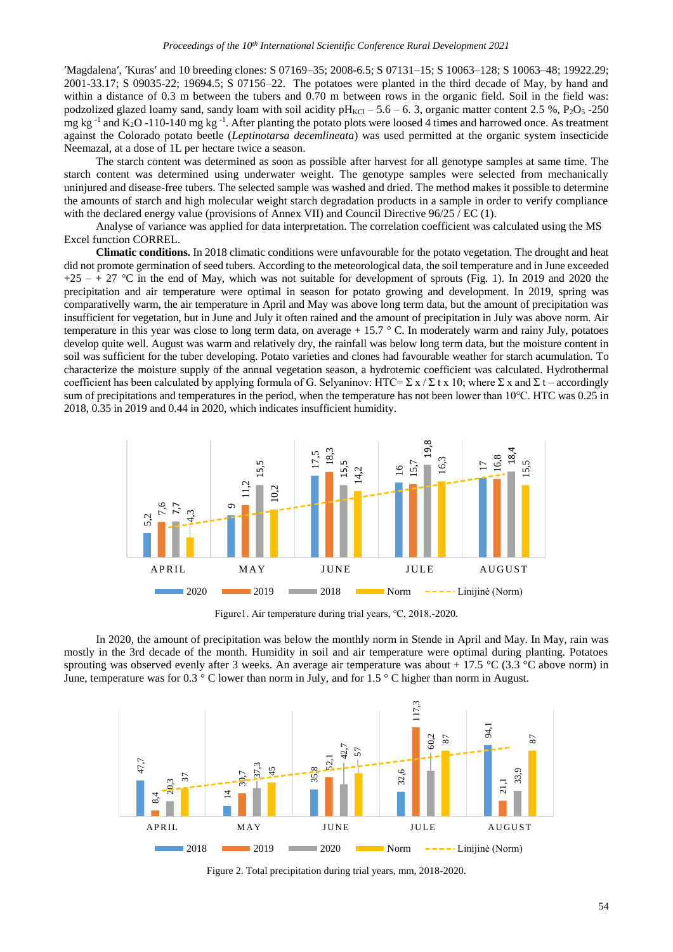′Magdalena′, ′Kuras′ and 10 breeding clones: S 07169–35; 2008-6.5; S 07131–15; S 10063–128; S 10063–48; 19922.29; 2001-33.17; S 09035-22; 19694.5; S 07156–22. The potatoes were planted in the third decade of May, by hand and within a distance of 0.3 m between the tubers and 0.70 m between rows in the organic field. Soil in the field was: podzolized glazed loamy sand, sandy loam with soil acidity  $pH_{\text{KCl}} - 5.6 - 6.3$ , organic matter content 2.5 %, P<sub>2</sub>O<sub>5</sub> -250 mg kg<sup>-1</sup> and K<sub>2</sub>O -110-140 mg kg<sup>-1</sup>. After planting the potato plots were loosed 4 times and harrowed once. As treatment against the Colorado potato beetle (*Leptinotarsa decemlineata*) was used permitted at the organic system insecticide Neemazal, at a dose of 1L per hectare twice a season.

The starch content was determined as soon as possible after harvest for all genotype samples at same time. The starch content was determined using underwater weight. The genotype samples were selected from mechanically uninjured and disease-free tubers. The selected sample was washed and dried. The method makes it possible to determine the amounts of starch and high molecular weight starch degradation products in a sample in order to verify compliance with the declared energy value (provisions of Annex VII) and Council Directive 96/25 / EC (1).

Analyse of variance was applied for data interpretation. The correlation coefficient was calculated using the MS Excel function CORREL.

**Climatic conditions.** In 2018 climatic conditions were unfavourable for the potato vegetation. The drought and heat did not promote germination of seed tubers. According to the meteorological data, the soil temperature and in June exceeded  $+25 - + 27$  °C in the end of May, which was not suitable for development of sprouts (Fig. 1). In 2019 and 2020 the precipitation and air temperature were optimal in season for potato growing and development. In 2019, spring was comparativelly warm, the air temperature in April and May was above long term data, but the amount of precipitation was insufficient for vegetation, but in June and July it often rained and the amount of precipitation in July was above norm. Air temperature in this year was close to long term data, on average  $+ 15.7 \degree$  C. In moderately warm and rainy July, potatoes develop quite well. August was warm and relatively dry, the rainfall was below long term data, but the moisture content in soil was sufficient for the tuber developing. Potato varieties and clones had favourable weather for starch acumulation. To characterize the moisture supply of the annual vegetation season, a hydrotemic coefficient was calculated. Hydrothermal coefficient has been calculated by applying formula of G. Selyaninov: HTC=  $\Sigma x / \Sigma t x 10$ ; where  $\Sigma x$  and  $\Sigma t$  – accordingly sum of precipitations and temperatures in the period, when the temperature has not been lower than 10℃. HTC was 0.25 in 2018, 0.35 in 2019 and 0.44 in 2020, which indicates insufficient humidity.



Figure1. Air temperature during trial years, ℃, 2018.-2020.

In 2020, the amount of precipitation was below the monthly norm in Stende in April and May. In May, rain was mostly in the 3rd decade of the month. Humidity in soil and air temperature were optimal during planting. Potatoes sprouting was observed evenly after 3 weeks. An average air temperature was about + 17.5 °C (3.3 °C above norm) in June, temperature was for 0.3 ° C lower than norm in July, and for 1.5 ° C higher than norm in August.



Figure 2. Total precipitation during trial years, mm, 2018-2020.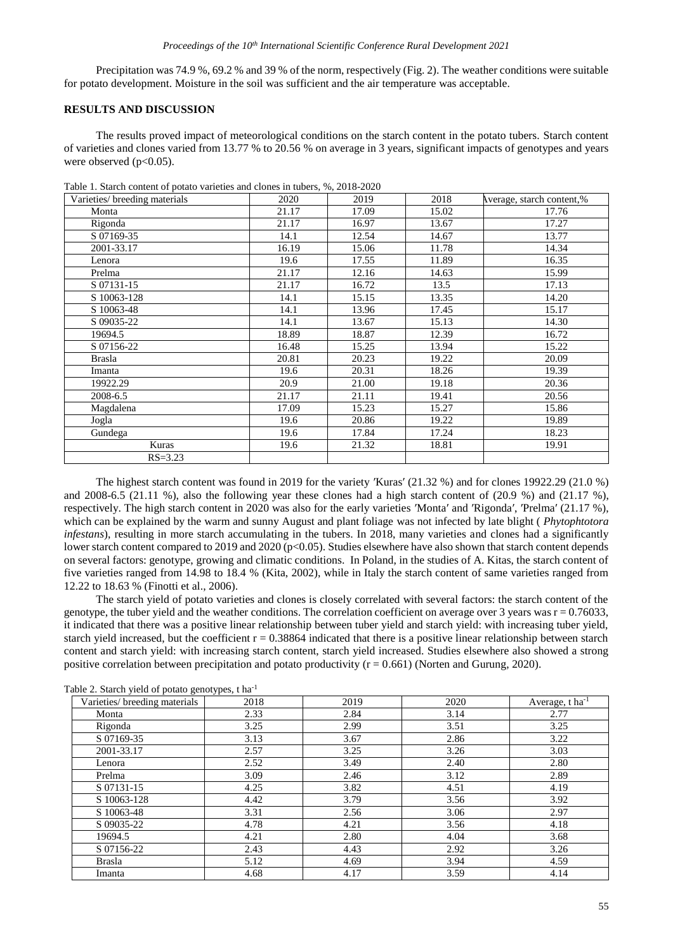Precipitation was 74.9 %, 69.2 % and 39 % of the norm, respectively (Fig. 2). The weather conditions were suitable for potato development. Moisture in the soil was sufficient and the air temperature was acceptable.

#### **RESULTS AND DISCUSSION**

The results proved impact of meteorological conditions on the starch content in the potato tubers. Starch content of varieties and clones varied from 13.77 % to 20.56 % on average in 3 years, significant impacts of genotypes and years were observed  $(p<0.05)$ .

| Varieties/ breeding materials | 2020  | 2019  | 2018  | Average, starch content,% |
|-------------------------------|-------|-------|-------|---------------------------|
| Monta                         | 21.17 | 17.09 | 15.02 | 17.76                     |
| Rigonda                       | 21.17 | 16.97 | 13.67 | 17.27                     |
| S 07169-35                    | 14.1  | 12.54 | 14.67 | 13.77                     |
| 2001-33.17                    | 16.19 | 15.06 | 11.78 | 14.34                     |
| Lenora                        | 19.6  | 17.55 | 11.89 | 16.35                     |
| Prelma                        | 21.17 | 12.16 | 14.63 | 15.99                     |
| S 07131-15                    | 21.17 | 16.72 | 13.5  | 17.13                     |
| S 10063-128                   | 14.1  | 15.15 | 13.35 | 14.20                     |
| S 10063-48                    | 14.1  | 13.96 | 17.45 | 15.17                     |
| S 09035-22                    | 14.1  | 13.67 | 15.13 | 14.30                     |
| 19694.5                       | 18.89 | 18.87 | 12.39 | 16.72                     |
| S 07156-22                    | 16.48 | 15.25 | 13.94 | 15.22                     |
| <b>Brasla</b>                 | 20.81 | 20.23 | 19.22 | 20.09                     |
| Imanta                        | 19.6  | 20.31 | 18.26 | 19.39                     |
| 19922.29                      | 20.9  | 21.00 | 19.18 | 20.36                     |
| 2008-6.5                      | 21.17 | 21.11 | 19.41 | 20.56                     |
| Magdalena                     | 17.09 | 15.23 | 15.27 | 15.86                     |
| Jogla                         | 19.6  | 20.86 | 19.22 | 19.89                     |
| Gundega                       | 19.6  | 17.84 | 17.24 | 18.23                     |
| Kuras                         | 19.6  | 21.32 | 18.81 | 19.91                     |
| $RS = 3.23$                   |       |       |       |                           |

Table 1. Starch content of potato varieties and clones in tubers, %, 2018-2020

The highest starch content was found in 2019 for the variety ′Kuras′ (21.32 %) and for clones 19922.29 (21.0 %) and 2008-6.5 (21.11 %), also the following year these clones had a high starch content of (20.9 %) and (21.17 %). respectively. The high starch content in 2020 was also for the early varieties 'Monta' and 'Rigonda', 'Prelma' (21.17 %), which can be explained by the warm and sunny August and plant foliage was not infected by late blight ( *Phytophtotora infestans*), resulting in more starch accumulating in the tubers. In 2018, many varieties and clones had a significantly lower starch content compared to 2019 and 2020 ( $p<0.05$ ). Studies elsewhere have also shown that starch content depends on several factors: genotype, growing and climatic conditions. In Poland, in the studies of A. Kitas, the starch content of five varieties ranged from 14.98 to 18.4 % (Kita, 2002), while in Italy the starch content of same varieties ranged from 12.22 to 18.63 % (Finotti et al., 2006).

The starch yield of potato varieties and clones is closely correlated with several factors: the starch content of the genotype, the tuber yield and the weather conditions. The correlation coefficient on average over 3 years was  $r = 0.76033$ , it indicated that there was a positive linear relationship between tuber yield and starch yield: with increasing tuber yield, starch yield increased, but the coefficient  $r = 0.38864$  indicated that there is a positive linear relationship between starch content and starch yield: with increasing starch content, starch yield increased. Studies elsewhere also showed a strong positive correlation between precipitation and potato productivity  $(r = 0.661)$  (Norten and Gurung, 2020).

| Varieties/ breeding materials | 2018 | 2019 | 2020 | Average, t ha <sup>-1</sup> |
|-------------------------------|------|------|------|-----------------------------|
| Monta                         | 2.33 | 2.84 | 3.14 | 2.77                        |
| Rigonda                       | 3.25 | 2.99 | 3.51 | 3.25                        |
| S 07169-35                    | 3.13 | 3.67 | 2.86 | 3.22                        |
| 2001-33.17                    | 2.57 | 3.25 | 3.26 | 3.03                        |
| Lenora                        | 2.52 | 3.49 | 2.40 | 2.80                        |
| Prelma                        | 3.09 | 2.46 | 3.12 | 2.89                        |
| S 07131-15                    | 4.25 | 3.82 | 4.51 | 4.19                        |
| S 10063-128                   | 4.42 | 3.79 | 3.56 | 3.92                        |
| S 10063-48                    | 3.31 | 2.56 | 3.06 | 2.97                        |
| S 09035-22                    | 4.78 | 4.21 | 3.56 | 4.18                        |
| 19694.5                       | 4.21 | 2.80 | 4.04 | 3.68                        |
| S 07156-22                    | 2.43 | 4.43 | 2.92 | 3.26                        |
| <b>Brasla</b>                 | 5.12 | 4.69 | 3.94 | 4.59                        |
| Imanta                        | 4.68 | 4.17 | 3.59 | 4.14                        |

Table 2. Starch yield of potato genotypes, t ha-1